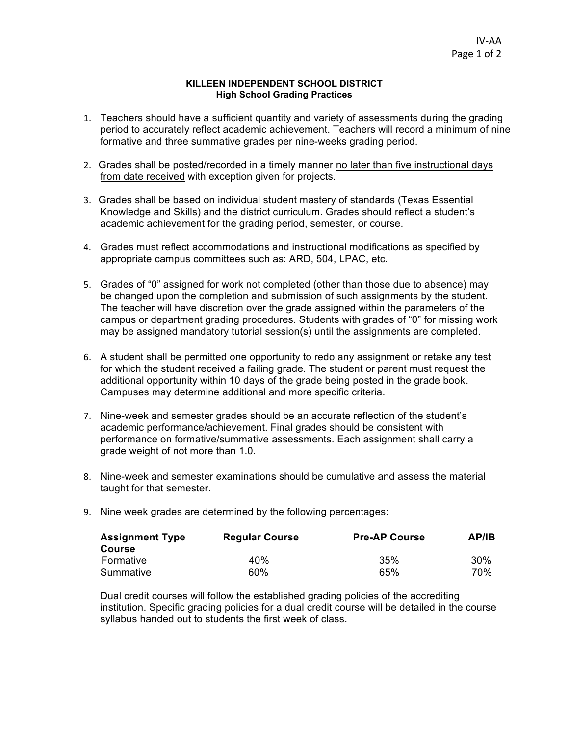## **KILLEEN INDEPENDENT SCHOOL DISTRICT High School Grading Practices**

- 1. Teachers should have a sufficient quantity and variety of assessments during the grading period to accurately reflect academic achievement. Teachers will record a minimum of nine formative and three summative grades per nine-weeks grading period.
- 2. Grades shall be posted/recorded in a timely manner no later than five instructional days from date received with exception given for projects.
- 3. Grades shall be based on individual student mastery of standards (Texas Essential Knowledge and Skills) and the district curriculum. Grades should reflect a student's academic achievement for the grading period, semester, or course.
- 4. Grades must reflect accommodations and instructional modifications as specified by appropriate campus committees such as: ARD, 504, LPAC, etc.
- 5. Grades of "0" assigned for work not completed (other than those due to absence) may be changed upon the completion and submission of such assignments by the student. The teacher will have discretion over the grade assigned within the parameters of the campus or department grading procedures. Students with grades of "0" for missing work may be assigned mandatory tutorial session(s) until the assignments are completed.
- 6. A student shall be permitted one opportunity to redo any assignment or retake any test for which the student received a failing grade. The student or parent must request the additional opportunity within 10 days of the grade being posted in the grade book. Campuses may determine additional and more specific criteria.
- 7. Nine-week and semester grades should be an accurate reflection of the student's academic performance/achievement. Final grades should be consistent with performance on formative/summative assessments. Each assignment shall carry a grade weight of not more than 1.0.
- 8. Nine-week and semester examinations should be cumulative and assess the material taught for that semester.
- 9. Nine week grades are determined by the following percentages:

| <b>Assignment Type</b> | <b>Regular Course</b> | <b>Pre-AP Course</b> | AP/IB  |
|------------------------|-----------------------|----------------------|--------|
| <b>Course</b>          |                       |                      |        |
| Formative              | 40%                   | 35%                  | $30\%$ |
| Summative              | 60%                   | 65%                  | 70%    |

Dual credit courses will follow the established grading policies of the accrediting institution. Specific grading policies for a dual credit course will be detailed in the course syllabus handed out to students the first week of class.